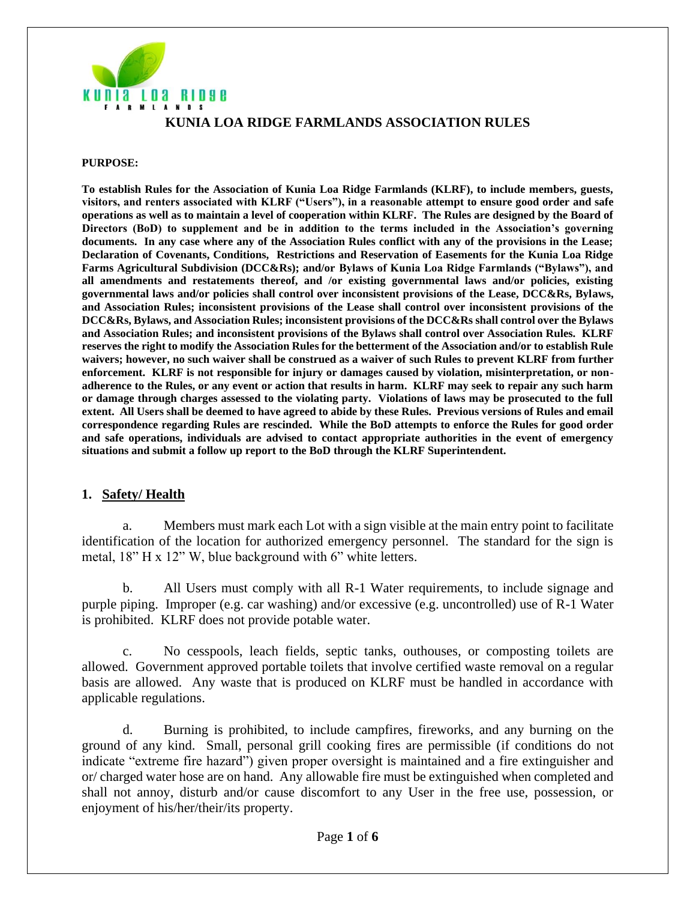

#### **KUNIA LOA RIDGE FARMLANDS ASSOCIATION RULES**

#### **PURPOSE:**

**To establish Rules for the Association of Kunia Loa Ridge Farmlands (KLRF), to include members, guests, visitors, and renters associated with KLRF ("Users"), in a reasonable attempt to ensure good order and safe operations as well as to maintain a level of cooperation within KLRF. The Rules are designed by the Board of Directors (BoD) to supplement and be in addition to the terms included in the Association's governing documents. In any case where any of the Association Rules conflict with any of the provisions in the Lease; Declaration of Covenants, Conditions, Restrictions and Reservation of Easements for the Kunia Loa Ridge Farms Agricultural Subdivision (DCC&Rs); and/or Bylaws of Kunia Loa Ridge Farmlands ("Bylaws"), and all amendments and restatements thereof, and /or existing governmental laws and/or policies, existing governmental laws and/or policies shall control over inconsistent provisions of the Lease, DCC&Rs, Bylaws, and Association Rules; inconsistent provisions of the Lease shall control over inconsistent provisions of the DCC&Rs, Bylaws, and Association Rules; inconsistent provisions of the DCC&Rs shall control over the Bylaws and Association Rules; and inconsistent provisions of the Bylaws shall control over Association Rules. KLRF reserves the right to modify the Association Rules for the betterment of the Association and/or to establish Rule waivers; however, no such waiver shall be construed as a waiver of such Rules to prevent KLRF from further enforcement. KLRF is not responsible for injury or damages caused by violation, misinterpretation, or nonadherence to the Rules, or any event or action that results in harm. KLRF may seek to repair any such harm or damage through charges assessed to the violating party. Violations of laws may be prosecuted to the full extent. All Users shall be deemed to have agreed to abide by these Rules. Previous versions of Rules and email correspondence regarding Rules are rescinded. While the BoD attempts to enforce the Rules for good order and safe operations, individuals are advised to contact appropriate authorities in the event of emergency situations and submit a follow up report to the BoD through the KLRF Superintendent.**

#### **1. Safety/ Health**

a. Members must mark each Lot with a sign visible at the main entry point to facilitate identification of the location for authorized emergency personnel. The standard for the sign is metal, 18" H x 12" W, blue background with 6" white letters.

b. All Users must comply with all R-1 Water requirements, to include signage and purple piping. Improper (e.g. car washing) and/or excessive (e.g. uncontrolled) use of R-1 Water is prohibited. KLRF does not provide potable water.

c. No cesspools, leach fields, septic tanks, outhouses, or composting toilets are allowed. Government approved portable toilets that involve certified waste removal on a regular basis are allowed. Any waste that is produced on KLRF must be handled in accordance with applicable regulations.

d. Burning is prohibited, to include campfires, fireworks, and any burning on the ground of any kind. Small, personal grill cooking fires are permissible (if conditions do not indicate "extreme fire hazard") given proper oversight is maintained and a fire extinguisher and or/ charged water hose are on hand. Any allowable fire must be extinguished when completed and shall not annoy, disturb and/or cause discomfort to any User in the free use, possession, or enjoyment of his/her/their/its property.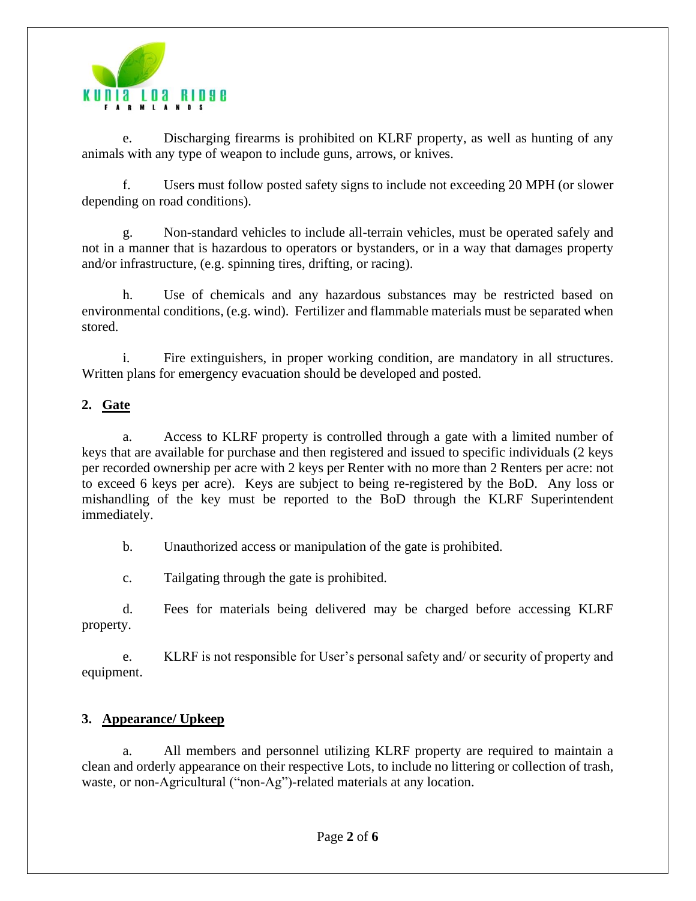

e. Discharging firearms is prohibited on KLRF property, as well as hunting of any animals with any type of weapon to include guns, arrows, or knives.

f. Users must follow posted safety signs to include not exceeding 20 MPH (or slower depending on road conditions).

g. Non-standard vehicles to include all-terrain vehicles, must be operated safely and not in a manner that is hazardous to operators or bystanders, or in a way that damages property and/or infrastructure, (e.g. spinning tires, drifting, or racing).

h. Use of chemicals and any hazardous substances may be restricted based on environmental conditions, (e.g. wind). Fertilizer and flammable materials must be separated when stored.

i. Fire extinguishers, in proper working condition, are mandatory in all structures. Written plans for emergency evacuation should be developed and posted.

# **2. Gate**

a. Access to KLRF property is controlled through a gate with a limited number of keys that are available for purchase and then registered and issued to specific individuals (2 keys per recorded ownership per acre with 2 keys per Renter with no more than 2 Renters per acre: not to exceed 6 keys per acre). Keys are subject to being re-registered by the BoD. Any loss or mishandling of the key must be reported to the BoD through the KLRF Superintendent immediately.

b. Unauthorized access or manipulation of the gate is prohibited.

c. Tailgating through the gate is prohibited.

d. Fees for materials being delivered may be charged before accessing KLRF property.

e. KLRF is not responsible for User's personal safety and/ or security of property and equipment.

# **3. Appearance/ Upkeep**

a. All members and personnel utilizing KLRF property are required to maintain a clean and orderly appearance on their respective Lots, to include no littering or collection of trash, waste, or non-Agricultural ("non-Ag")-related materials at any location.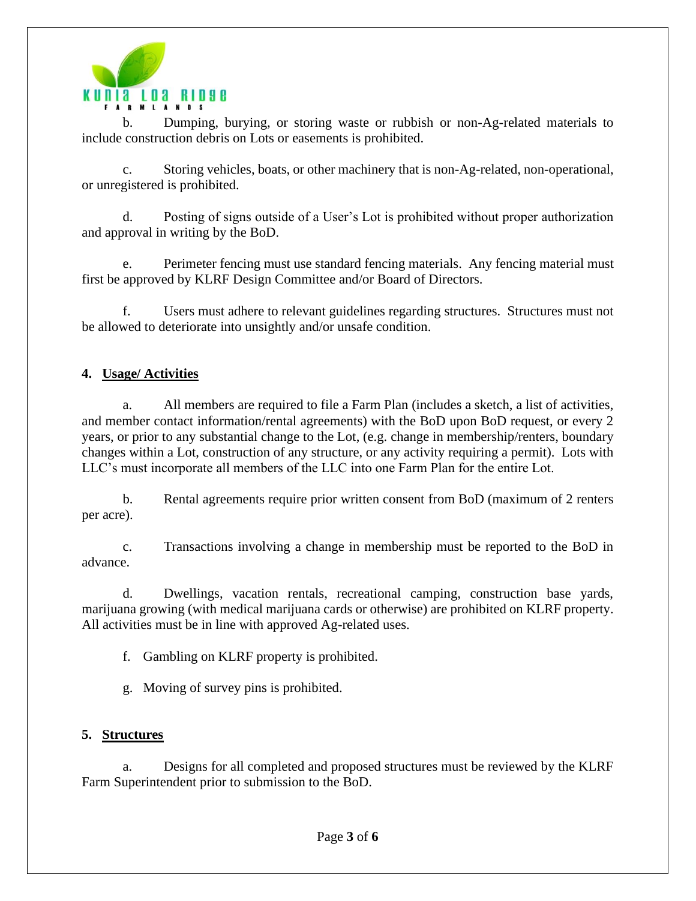

b. Dumping, burying, or storing waste or rubbish or non-Ag-related materials to include construction debris on Lots or easements is prohibited.

c. Storing vehicles, boats, or other machinery that is non-Ag-related, non-operational, or unregistered is prohibited.

d. Posting of signs outside of a User's Lot is prohibited without proper authorization and approval in writing by the BoD.

e. Perimeter fencing must use standard fencing materials. Any fencing material must first be approved by KLRF Design Committee and/or Board of Directors.

f. Users must adhere to relevant guidelines regarding structures. Structures must not be allowed to deteriorate into unsightly and/or unsafe condition.

# **4. Usage/ Activities**

a. All members are required to file a Farm Plan (includes a sketch, a list of activities, and member contact information/rental agreements) with the BoD upon BoD request, or every 2 years, or prior to any substantial change to the Lot, (e.g. change in membership/renters, boundary changes within a Lot, construction of any structure, or any activity requiring a permit). Lots with LLC's must incorporate all members of the LLC into one Farm Plan for the entire Lot.

b. Rental agreements require prior written consent from BoD (maximum of 2 renters per acre).

c. Transactions involving a change in membership must be reported to the BoD in advance.

d. Dwellings, vacation rentals, recreational camping, construction base yards, marijuana growing (with medical marijuana cards or otherwise) are prohibited on KLRF property. All activities must be in line with approved Ag-related uses.

f. Gambling on KLRF property is prohibited.

g. Moving of survey pins is prohibited.

## **5. Structures**

a. Designs for all completed and proposed structures must be reviewed by the KLRF Farm Superintendent prior to submission to the BoD.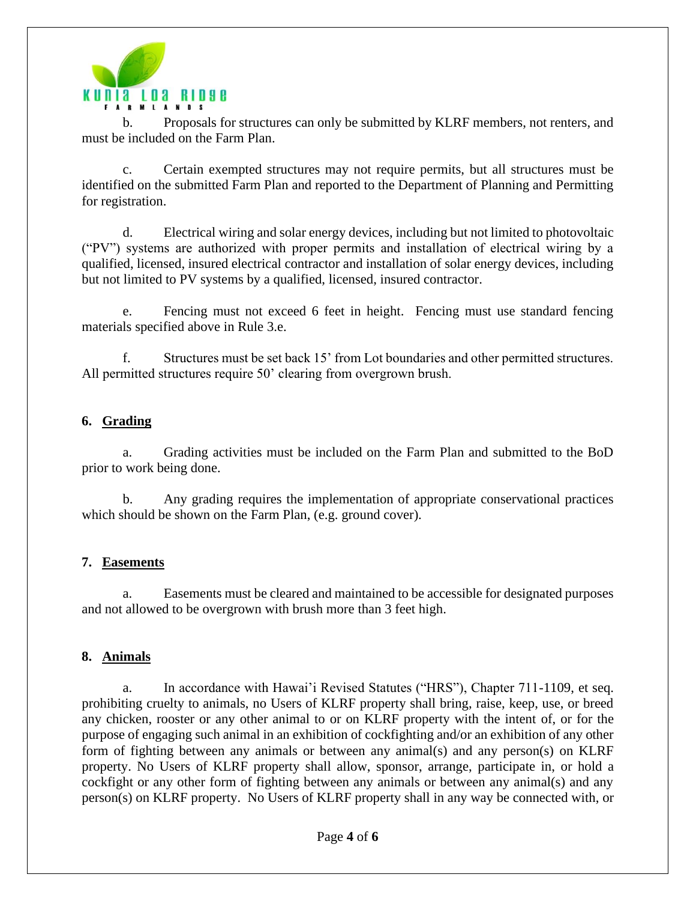

b. Proposals for structures can only be submitted by KLRF members, not renters, and must be included on the Farm Plan.

c. Certain exempted structures may not require permits, but all structures must be identified on the submitted Farm Plan and reported to the Department of Planning and Permitting for registration.

d. Electrical wiring and solar energy devices, including but not limited to photovoltaic ("PV") systems are authorized with proper permits and installation of electrical wiring by a qualified, licensed, insured electrical contractor and installation of solar energy devices, including but not limited to PV systems by a qualified, licensed, insured contractor.

e. Fencing must not exceed 6 feet in height. Fencing must use standard fencing materials specified above in Rule 3.e.

f. Structures must be set back 15' from Lot boundaries and other permitted structures. All permitted structures require 50' clearing from overgrown brush.

## **6. Grading**

a. Grading activities must be included on the Farm Plan and submitted to the BoD prior to work being done.

b. Any grading requires the implementation of appropriate conservational practices which should be shown on the Farm Plan, (e.g. ground cover).

## **7. Easements**

a. Easements must be cleared and maintained to be accessible for designated purposes and not allowed to be overgrown with brush more than 3 feet high.

## **8. Animals**

a. In accordance with Hawai'i Revised Statutes ("HRS"), Chapter 711-1109, et seq. prohibiting cruelty to animals, no Users of KLRF property shall bring, raise, keep, use, or breed any chicken, rooster or any other animal to or on KLRF property with the intent of, or for the purpose of engaging such animal in an exhibition of cockfighting and/or an exhibition of any other form of fighting between any animals or between any animal(s) and any person(s) on KLRF property. No Users of KLRF property shall allow, sponsor, arrange, participate in, or hold a cockfight or any other form of fighting between any animals or between any animal(s) and any person(s) on KLRF property. No Users of KLRF property shall in any way be connected with, or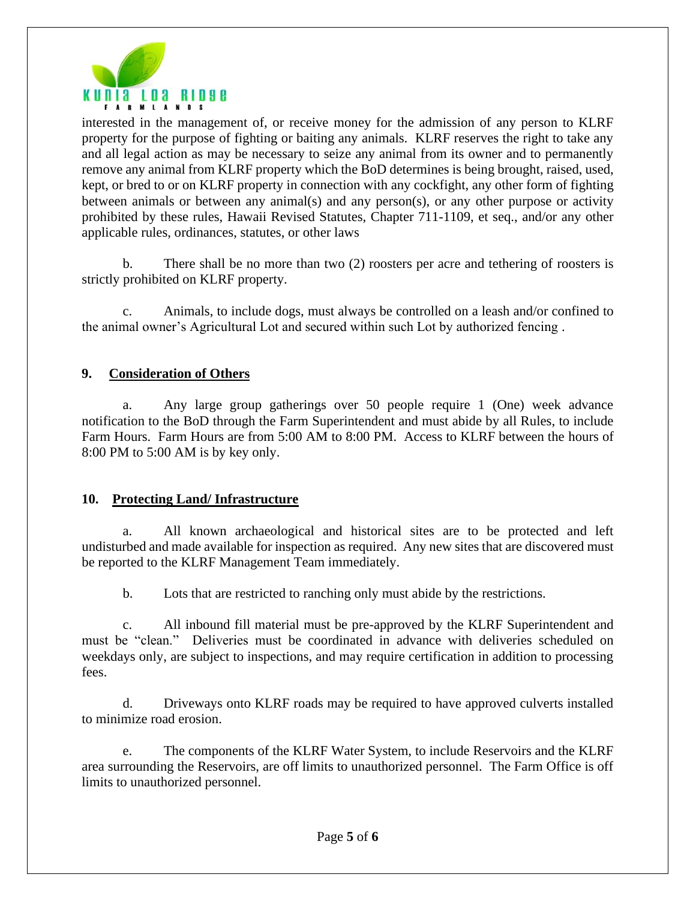

interested in the management of, or receive money for the admission of any person to KLRF property for the purpose of fighting or baiting any animals. KLRF reserves the right to take any and all legal action as may be necessary to seize any animal from its owner and to permanently remove any animal from KLRF property which the BoD determines is being brought, raised, used, kept, or bred to or on KLRF property in connection with any cockfight, any other form of fighting between animals or between any animal(s) and any person(s), or any other purpose or activity prohibited by these rules, Hawaii Revised Statutes, Chapter 711-1109, et seq., and/or any other applicable rules, ordinances, statutes, or other laws

b. There shall be no more than two (2) roosters per acre and tethering of roosters is strictly prohibited on KLRF property.

c. Animals, to include dogs, must always be controlled on a leash and/or confined to the animal owner's Agricultural Lot and secured within such Lot by authorized fencing .

#### **9. Consideration of Others**

a. Any large group gatherings over 50 people require 1 (One) week advance notification to the BoD through the Farm Superintendent and must abide by all Rules, to include Farm Hours. Farm Hours are from 5:00 AM to 8:00 PM. Access to KLRF between the hours of 8:00 PM to 5:00 AM is by key only.

#### **10. Protecting Land/ Infrastructure**

a. All known archaeological and historical sites are to be protected and left undisturbed and made available for inspection as required. Any new sites that are discovered must be reported to the KLRF Management Team immediately.

b. Lots that are restricted to ranching only must abide by the restrictions.

c. All inbound fill material must be pre-approved by the KLRF Superintendent and must be "clean." Deliveries must be coordinated in advance with deliveries scheduled on weekdays only, are subject to inspections, and may require certification in addition to processing fees.

d. Driveways onto KLRF roads may be required to have approved culverts installed to minimize road erosion.

e. The components of the KLRF Water System, to include Reservoirs and the KLRF area surrounding the Reservoirs, are off limits to unauthorized personnel. The Farm Office is off limits to unauthorized personnel.